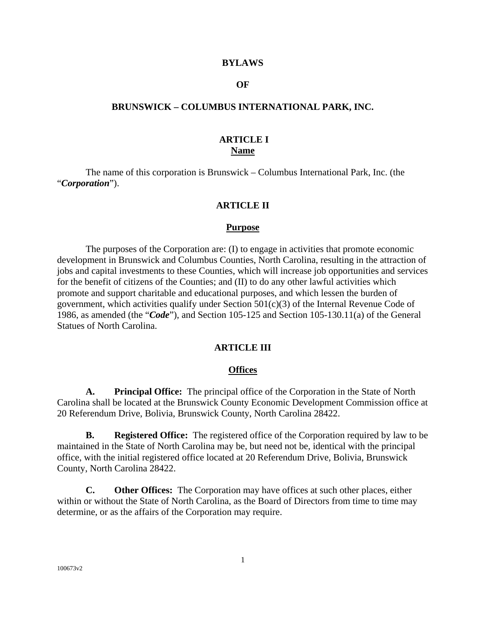#### **BYLAWS**

#### **OF**

#### **BRUNSWICK – COLUMBUS INTERNATIONAL PARK, INC.**

# **ARTICLE I Name**

 The name of this corporation is Brunswick – Columbus International Park, Inc. (the "*Corporation*").

#### **ARTICLE II**

### **Purpose**

 The purposes of the Corporation are: (I) to engage in activities that promote economic development in Brunswick and Columbus Counties, North Carolina, resulting in the attraction of jobs and capital investments to these Counties, which will increase job opportunities and services for the benefit of citizens of the Counties; and (II) to do any other lawful activities which promote and support charitable and educational purposes, and which lessen the burden of government, which activities qualify under Section 501(c)(3) of the Internal Revenue Code of 1986, as amended (the "*Code*"), and Section 105-125 and Section 105-130.11(a) of the General Statues of North Carolina.

#### **ARTICLE III**

#### **Offices**

**A. Principal Office:** The principal office of the Corporation in the State of North Carolina shall be located at the Brunswick County Economic Development Commission office at 20 Referendum Drive, Bolivia, Brunswick County, North Carolina 28422.

**B. Registered Office:** The registered office of the Corporation required by law to be maintained in the State of North Carolina may be, but need not be, identical with the principal office, with the initial registered office located at 20 Referendum Drive, Bolivia, Brunswick County, North Carolina 28422.

**C. Other Offices:** The Corporation may have offices at such other places, either within or without the State of North Carolina, as the Board of Directors from time to time may determine, or as the affairs of the Corporation may require.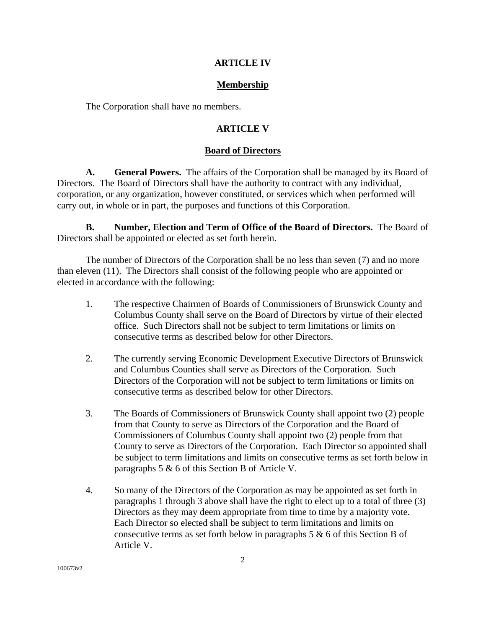### **ARTICLE IV**

### **Membership**

The Corporation shall have no members.

## **ARTICLE V**

#### **Board of Directors**

**A. General Powers.** The affairs of the Corporation shall be managed by its Board of Directors. The Board of Directors shall have the authority to contract with any individual, corporation, or any organization, however constituted, or services which when performed will carry out, in whole or in part, the purposes and functions of this Corporation.

**B. Number, Election and Term of Office of the Board of Directors.** The Board of Directors shall be appointed or elected as set forth herein.

 The number of Directors of the Corporation shall be no less than seven (7) and no more than eleven (11). The Directors shall consist of the following people who are appointed or elected in accordance with the following:

- 1. The respective Chairmen of Boards of Commissioners of Brunswick County and Columbus County shall serve on the Board of Directors by virtue of their elected office. Such Directors shall not be subject to term limitations or limits on consecutive terms as described below for other Directors.
- 2. The currently serving Economic Development Executive Directors of Brunswick and Columbus Counties shall serve as Directors of the Corporation. Such Directors of the Corporation will not be subject to term limitations or limits on consecutive terms as described below for other Directors.
- 3. The Boards of Commissioners of Brunswick County shall appoint two (2) people from that County to serve as Directors of the Corporation and the Board of Commissioners of Columbus County shall appoint two (2) people from that County to serve as Directors of the Corporation. Each Director so appointed shall be subject to term limitations and limits on consecutive terms as set forth below in paragraphs 5 & 6 of this Section B of Article V.
- 4. So many of the Directors of the Corporation as may be appointed as set forth in paragraphs 1 through 3 above shall have the right to elect up to a total of three (3) Directors as they may deem appropriate from time to time by a majority vote. Each Director so elected shall be subject to term limitations and limits on consecutive terms as set forth below in paragraphs 5 & 6 of this Section B of Article V.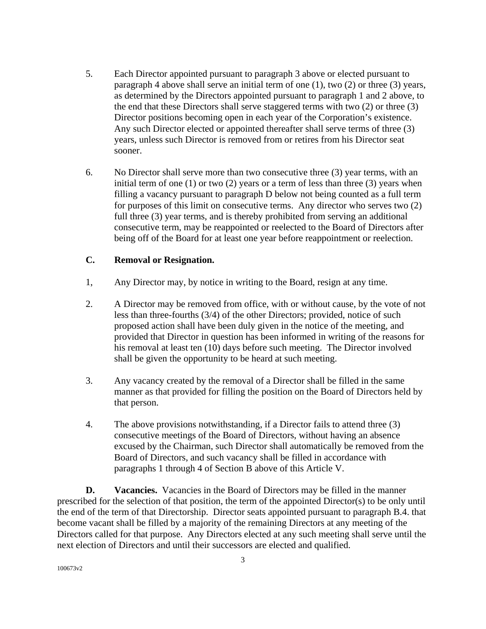- 5. Each Director appointed pursuant to paragraph 3 above or elected pursuant to paragraph 4 above shall serve an initial term of one (1), two (2) or three (3) years, as determined by the Directors appointed pursuant to paragraph 1 and 2 above, to the end that these Directors shall serve staggered terms with two (2) or three (3) Director positions becoming open in each year of the Corporation's existence. Any such Director elected or appointed thereafter shall serve terms of three (3) years, unless such Director is removed from or retires from his Director seat sooner.
- 6. No Director shall serve more than two consecutive three (3) year terms, with an initial term of one  $(1)$  or two  $(2)$  years or a term of less than three  $(3)$  years when filling a vacancy pursuant to paragraph D below not being counted as a full term for purposes of this limit on consecutive terms. Any director who serves two (2) full three (3) year terms, and is thereby prohibited from serving an additional consecutive term, may be reappointed or reelected to the Board of Directors after being off of the Board for at least one year before reappointment or reelection.

# **C. Removal or Resignation.**

- 1, Any Director may, by notice in writing to the Board, resign at any time.
- 2. A Director may be removed from office, with or without cause, by the vote of not less than three-fourths (3/4) of the other Directors; provided, notice of such proposed action shall have been duly given in the notice of the meeting, and provided that Director in question has been informed in writing of the reasons for his removal at least ten (10) days before such meeting. The Director involved shall be given the opportunity to be heard at such meeting.
- 3. Any vacancy created by the removal of a Director shall be filled in the same manner as that provided for filling the position on the Board of Directors held by that person.
- 4. The above provisions notwithstanding, if a Director fails to attend three (3) consecutive meetings of the Board of Directors, without having an absence excused by the Chairman, such Director shall automatically be removed from the Board of Directors, and such vacancy shall be filled in accordance with paragraphs 1 through 4 of Section B above of this Article V.

**D.** Vacancies. Vacancies in the Board of Directors may be filled in the manner prescribed for the selection of that position, the term of the appointed Director(s) to be only until the end of the term of that Directorship. Director seats appointed pursuant to paragraph B.4. that become vacant shall be filled by a majority of the remaining Directors at any meeting of the Directors called for that purpose. Any Directors elected at any such meeting shall serve until the next election of Directors and until their successors are elected and qualified.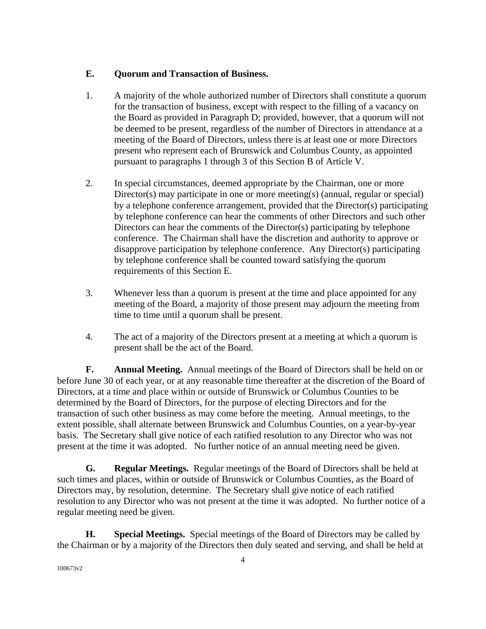# **E. Quorum and Transaction of Business.**

- 1. A majority of the whole authorized number of Directors shall constitute a quorum for the transaction of business, except with respect to the filling of a vacancy on the Board as provided in Paragraph D; provided, however, that a quorum will not be deemed to be present, regardless of the number of Directors in attendance at a meeting of the Board of Directors, unless there is at least one or more Directors present who represent each of Brunswick and Columbus County, as appointed pursuant to paragraphs 1 through 3 of this Section B of Article V.
- 2. In special circumstances, deemed appropriate by the Chairman, one or more Director(s) may participate in one or more meeting(s) (annual, regular or special) by a telephone conference arrangement, provided that the Director(s) participating by telephone conference can hear the comments of other Directors and such other Directors can hear the comments of the Director(s) participating by telephone conference. The Chairman shall have the discretion and authority to approve or disapprove participation by telephone conference. Any Director(s) participating by telephone conference shall be counted toward satisfying the quorum requirements of this Section E.
- 3. Whenever less than a quorum is present at the time and place appointed for any meeting of the Board, a majority of those present may adjourn the meeting from time to time until a quorum shall be present.
- 4. The act of a majority of the Directors present at a meeting at which a quorum is present shall be the act of the Board.

**F. Annual Meeting.** Annual meetings of the Board of Directors shall be held on or before June 30 of each year, or at any reasonable time thereafter at the discretion of the Board of Directors, at a time and place within or outside of Brunswick or Columbus Counties to be determined by the Board of Directors, for the purpose of electing Directors and for the transaction of such other business as may come before the meeting. Annual meetings, to the extent possible, shall alternate between Brunswick and Columbus Counties, on a year-by-year basis. The Secretary shall give notice of each ratified resolution to any Director who was not present at the time it was adopted. No further notice of an annual meeting need be given.

**G. Regular Meetings.** Regular meetings of the Board of Directors shall be held at such times and places, within or outside of Brunswick or Columbus Counties, as the Board of Directors may, by resolution, determine. The Secretary shall give notice of each ratified resolution to any Director who was not present at the time it was adopted. No further notice of a regular meeting need be given.

**H. Special Meetings.** Special meetings of the Board of Directors may be called by the Chairman or by a majority of the Directors then duly seated and serving, and shall be held at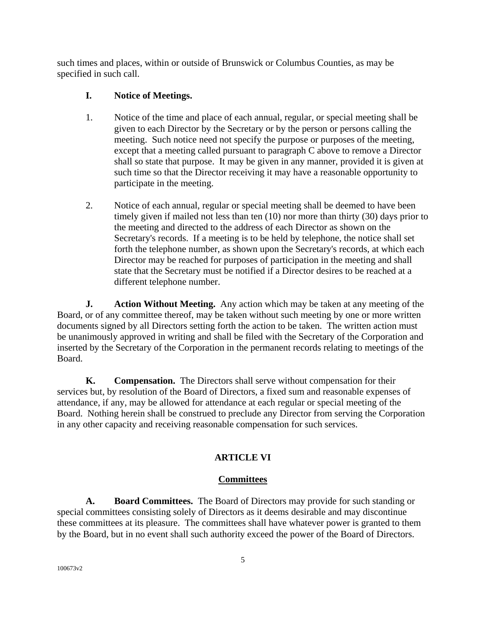such times and places, within or outside of Brunswick or Columbus Counties, as may be specified in such call.

# **I. Notice of Meetings.**

- 1. Notice of the time and place of each annual, regular, or special meeting shall be given to each Director by the Secretary or by the person or persons calling the meeting. Such notice need not specify the purpose or purposes of the meeting, except that a meeting called pursuant to paragraph C above to remove a Director shall so state that purpose. It may be given in any manner, provided it is given at such time so that the Director receiving it may have a reasonable opportunity to participate in the meeting.
- 2. Notice of each annual, regular or special meeting shall be deemed to have been timely given if mailed not less than ten (10) nor more than thirty (30) days prior to the meeting and directed to the address of each Director as shown on the Secretary's records. If a meeting is to be held by telephone, the notice shall set forth the telephone number, as shown upon the Secretary's records, at which each Director may be reached for purposes of participation in the meeting and shall state that the Secretary must be notified if a Director desires to be reached at a different telephone number.

**J. Action Without Meeting.** Any action which may be taken at any meeting of the Board, or of any committee thereof, may be taken without such meeting by one or more written documents signed by all Directors setting forth the action to be taken. The written action must be unanimously approved in writing and shall be filed with the Secretary of the Corporation and inserted by the Secretary of the Corporation in the permanent records relating to meetings of the Board.

**K. Compensation.** The Directors shall serve without compensation for their services but, by resolution of the Board of Directors, a fixed sum and reasonable expenses of attendance, if any, may be allowed for attendance at each regular or special meeting of the Board. Nothing herein shall be construed to preclude any Director from serving the Corporation in any other capacity and receiving reasonable compensation for such services.

# **ARTICLE VI**

## **Committees**

**A. Board Committees.** The Board of Directors may provide for such standing or special committees consisting solely of Directors as it deems desirable and may discontinue these committees at its pleasure. The committees shall have whatever power is granted to them by the Board, but in no event shall such authority exceed the power of the Board of Directors.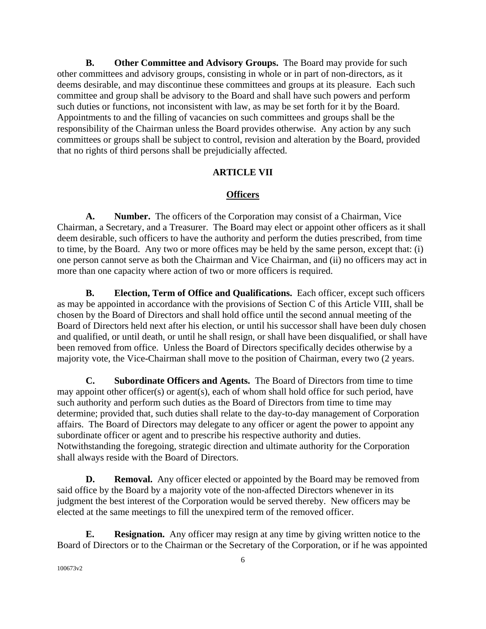**B.** Other Committee and Advisory Groups. The Board may provide for such other committees and advisory groups, consisting in whole or in part of non-directors, as it deems desirable, and may discontinue these committees and groups at its pleasure. Each such committee and group shall be advisory to the Board and shall have such powers and perform such duties or functions, not inconsistent with law, as may be set forth for it by the Board. Appointments to and the filling of vacancies on such committees and groups shall be the responsibility of the Chairman unless the Board provides otherwise. Any action by any such committees or groups shall be subject to control, revision and alteration by the Board, provided that no rights of third persons shall be prejudicially affected.

# **ARTICLE VII**

# **Officers**

 **A. Number.** The officers of the Corporation may consist of a Chairman, Vice Chairman, a Secretary, and a Treasurer. The Board may elect or appoint other officers as it shall deem desirable, such officers to have the authority and perform the duties prescribed, from time to time, by the Board. Any two or more offices may be held by the same person, except that: (i) one person cannot serve as both the Chairman and Vice Chairman, and (ii) no officers may act in more than one capacity where action of two or more officers is required.

**B. Election, Term of Office and Qualifications.** Each officer, except such officers as may be appointed in accordance with the provisions of Section C of this Article VIII, shall be chosen by the Board of Directors and shall hold office until the second annual meeting of the Board of Directors held next after his election, or until his successor shall have been duly chosen and qualified, or until death, or until he shall resign, or shall have been disqualified, or shall have been removed from office. Unless the Board of Directors specifically decides otherwise by a majority vote, the Vice-Chairman shall move to the position of Chairman, every two (2 years.

**C. Subordinate Officers and Agents.** The Board of Directors from time to time may appoint other officer(s) or agent(s), each of whom shall hold office for such period, have such authority and perform such duties as the Board of Directors from time to time may determine; provided that, such duties shall relate to the day-to-day management of Corporation affairs. The Board of Directors may delegate to any officer or agent the power to appoint any subordinate officer or agent and to prescribe his respective authority and duties. Notwithstanding the foregoing, strategic direction and ultimate authority for the Corporation shall always reside with the Board of Directors.

**D.** Removal. Any officer elected or appointed by the Board may be removed from said office by the Board by a majority vote of the non-affected Directors whenever in its judgment the best interest of the Corporation would be served thereby. New officers may be elected at the same meetings to fill the unexpired term of the removed officer.

**E. Resignation.** Any officer may resign at any time by giving written notice to the Board of Directors or to the Chairman or the Secretary of the Corporation, or if he was appointed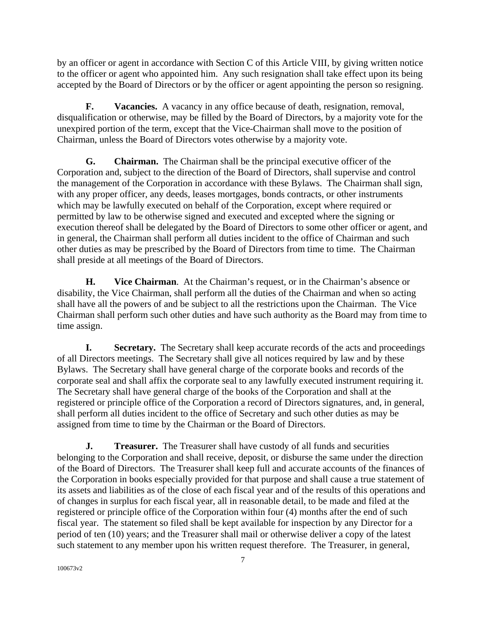by an officer or agent in accordance with Section C of this Article VIII, by giving written notice to the officer or agent who appointed him. Any such resignation shall take effect upon its being accepted by the Board of Directors or by the officer or agent appointing the person so resigning.

**F.** Vacancies. A vacancy in any office because of death, resignation, removal, disqualification or otherwise, may be filled by the Board of Directors, by a majority vote for the unexpired portion of the term, except that the Vice-Chairman shall move to the position of Chairman, unless the Board of Directors votes otherwise by a majority vote.

**G. Chairman.** The Chairman shall be the principal executive officer of the Corporation and, subject to the direction of the Board of Directors, shall supervise and control the management of the Corporation in accordance with these Bylaws. The Chairman shall sign, with any proper officer, any deeds, leases mortgages, bonds contracts, or other instruments which may be lawfully executed on behalf of the Corporation, except where required or permitted by law to be otherwise signed and executed and excepted where the signing or execution thereof shall be delegated by the Board of Directors to some other officer or agent, and in general, the Chairman shall perform all duties incident to the office of Chairman and such other duties as may be prescribed by the Board of Directors from time to time. The Chairman shall preside at all meetings of the Board of Directors.

**H. Vice Chairman**. At the Chairman's request, or in the Chairman's absence or disability, the Vice Chairman, shall perform all the duties of the Chairman and when so acting shall have all the powers of and be subject to all the restrictions upon the Chairman. The Vice Chairman shall perform such other duties and have such authority as the Board may from time to time assign.

**I.** Secretary. The Secretary shall keep accurate records of the acts and proceedings of all Directors meetings. The Secretary shall give all notices required by law and by these Bylaws. The Secretary shall have general charge of the corporate books and records of the corporate seal and shall affix the corporate seal to any lawfully executed instrument requiring it. The Secretary shall have general charge of the books of the Corporation and shall at the registered or principle office of the Corporation a record of Directors signatures, and, in general, shall perform all duties incident to the office of Secretary and such other duties as may be assigned from time to time by the Chairman or the Board of Directors.

**J.** Treasurer. The Treasurer shall have custody of all funds and securities belonging to the Corporation and shall receive, deposit, or disburse the same under the direction of the Board of Directors. The Treasurer shall keep full and accurate accounts of the finances of the Corporation in books especially provided for that purpose and shall cause a true statement of its assets and liabilities as of the close of each fiscal year and of the results of this operations and of changes in surplus for each fiscal year, all in reasonable detail, to be made and filed at the registered or principle office of the Corporation within four (4) months after the end of such fiscal year. The statement so filed shall be kept available for inspection by any Director for a period of ten (10) years; and the Treasurer shall mail or otherwise deliver a copy of the latest such statement to any member upon his written request therefore. The Treasurer, in general,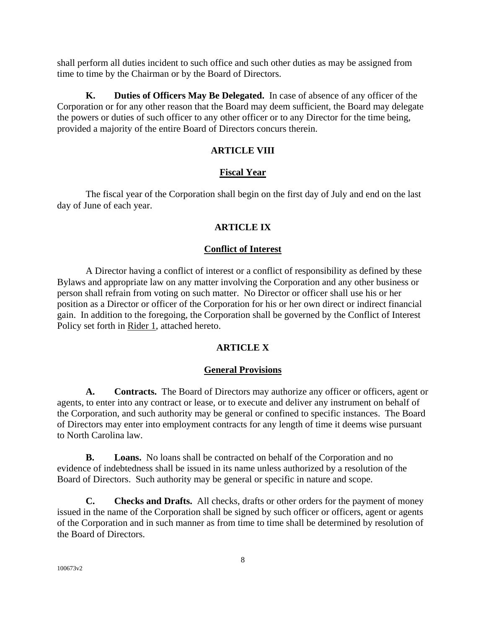shall perform all duties incident to such office and such other duties as may be assigned from time to time by the Chairman or by the Board of Directors.

**K. Duties of Officers May Be Delegated.** In case of absence of any officer of the Corporation or for any other reason that the Board may deem sufficient, the Board may delegate the powers or duties of such officer to any other officer or to any Director for the time being, provided a majority of the entire Board of Directors concurs therein.

## **ARTICLE VIII**

#### **Fiscal Year**

 The fiscal year of the Corporation shall begin on the first day of July and end on the last day of June of each year.

### **ARTICLE IX**

#### **Conflict of Interest**

 A Director having a conflict of interest or a conflict of responsibility as defined by these Bylaws and appropriate law on any matter involving the Corporation and any other business or person shall refrain from voting on such matter. No Director or officer shall use his or her position as a Director or officer of the Corporation for his or her own direct or indirect financial gain. In addition to the foregoing, the Corporation shall be governed by the Conflict of Interest Policy set forth in Rider 1, attached hereto.

### **ARTICLE X**

#### **General Provisions**

**A. Contracts.** The Board of Directors may authorize any officer or officers, agent or agents, to enter into any contract or lease, or to execute and deliver any instrument on behalf of the Corporation, and such authority may be general or confined to specific instances. The Board of Directors may enter into employment contracts for any length of time it deems wise pursuant to North Carolina law.

**B.** Loans. No loans shall be contracted on behalf of the Corporation and no evidence of indebtedness shall be issued in its name unless authorized by a resolution of the Board of Directors. Such authority may be general or specific in nature and scope.

**C. Checks and Drafts.** All checks, drafts or other orders for the payment of money issued in the name of the Corporation shall be signed by such officer or officers, agent or agents of the Corporation and in such manner as from time to time shall be determined by resolution of the Board of Directors.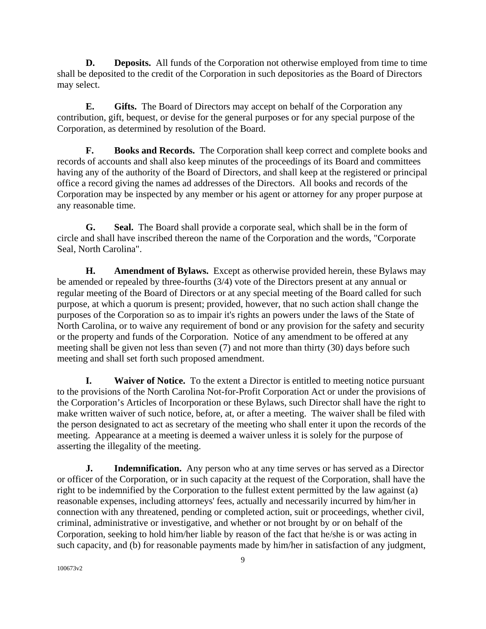**D.** Deposits. All funds of the Corporation not otherwise employed from time to time shall be deposited to the credit of the Corporation in such depositories as the Board of Directors may select.

**E. Gifts.** The Board of Directors may accept on behalf of the Corporation any contribution, gift, bequest, or devise for the general purposes or for any special purpose of the Corporation, as determined by resolution of the Board.

**F. Books and Records.** The Corporation shall keep correct and complete books and records of accounts and shall also keep minutes of the proceedings of its Board and committees having any of the authority of the Board of Directors, and shall keep at the registered or principal office a record giving the names ad addresses of the Directors. All books and records of the Corporation may be inspected by any member or his agent or attorney for any proper purpose at any reasonable time.

**G. Seal.** The Board shall provide a corporate seal, which shall be in the form of circle and shall have inscribed thereon the name of the Corporation and the words, "Corporate Seal, North Carolina".

**H. Amendment of Bylaws.** Except as otherwise provided herein, these Bylaws may be amended or repealed by three-fourths (3/4) vote of the Directors present at any annual or regular meeting of the Board of Directors or at any special meeting of the Board called for such purpose, at which a quorum is present; provided, however, that no such action shall change the purposes of the Corporation so as to impair it's rights an powers under the laws of the State of North Carolina, or to waive any requirement of bond or any provision for the safety and security or the property and funds of the Corporation. Notice of any amendment to be offered at any meeting shall be given not less than seven (7) and not more than thirty (30) days before such meeting and shall set forth such proposed amendment.

**I. Waiver of Notice.** To the extent a Director is entitled to meeting notice pursuant to the provisions of the North Carolina Not-for-Profit Corporation Act or under the provisions of the Corporation's Articles of Incorporation or these Bylaws, such Director shall have the right to make written waiver of such notice, before, at, or after a meeting. The waiver shall be filed with the person designated to act as secretary of the meeting who shall enter it upon the records of the meeting. Appearance at a meeting is deemed a waiver unless it is solely for the purpose of asserting the illegality of the meeting.

**J.** Indemnification. Any person who at any time serves or has served as a Director or officer of the Corporation, or in such capacity at the request of the Corporation, shall have the right to be indemnified by the Corporation to the fullest extent permitted by the law against (a) reasonable expenses, including attorneys' fees, actually and necessarily incurred by him/her in connection with any threatened, pending or completed action, suit or proceedings, whether civil, criminal, administrative or investigative, and whether or not brought by or on behalf of the Corporation, seeking to hold him/her liable by reason of the fact that he/she is or was acting in such capacity, and (b) for reasonable payments made by him/her in satisfaction of any judgment,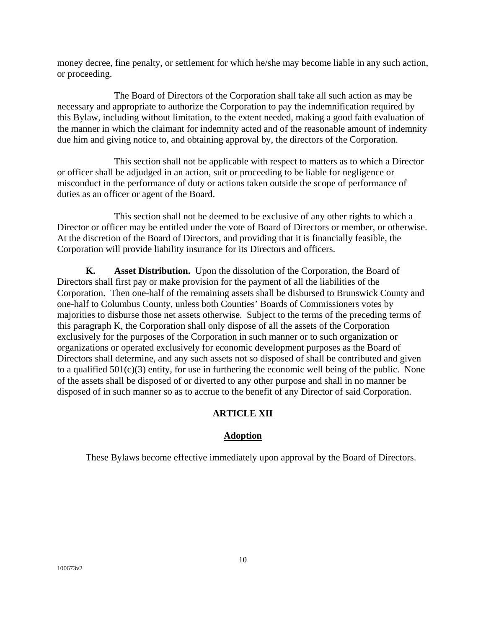money decree, fine penalty, or settlement for which he/she may become liable in any such action, or proceeding.

 The Board of Directors of the Corporation shall take all such action as may be necessary and appropriate to authorize the Corporation to pay the indemnification required by this Bylaw, including without limitation, to the extent needed, making a good faith evaluation of the manner in which the claimant for indemnity acted and of the reasonable amount of indemnity due him and giving notice to, and obtaining approval by, the directors of the Corporation.

 This section shall not be applicable with respect to matters as to which a Director or officer shall be adjudged in an action, suit or proceeding to be liable for negligence or misconduct in the performance of duty or actions taken outside the scope of performance of duties as an officer or agent of the Board.

 This section shall not be deemed to be exclusive of any other rights to which a Director or officer may be entitled under the vote of Board of Directors or member, or otherwise. At the discretion of the Board of Directors, and providing that it is financially feasible, the Corporation will provide liability insurance for its Directors and officers.

**K. Asset Distribution.** Upon the dissolution of the Corporation, the Board of Directors shall first pay or make provision for the payment of all the liabilities of the Corporation. Then one-half of the remaining assets shall be disbursed to Brunswick County and one-half to Columbus County, unless both Counties' Boards of Commissioners votes by majorities to disburse those net assets otherwise. Subject to the terms of the preceding terms of this paragraph K, the Corporation shall only dispose of all the assets of the Corporation exclusively for the purposes of the Corporation in such manner or to such organization or organizations or operated exclusively for economic development purposes as the Board of Directors shall determine, and any such assets not so disposed of shall be contributed and given to a qualified  $501(c)(3)$  entity, for use in furthering the economic well being of the public. None of the assets shall be disposed of or diverted to any other purpose and shall in no manner be disposed of in such manner so as to accrue to the benefit of any Director of said Corporation.

#### **ARTICLE XII**

## **Adoption**

These Bylaws become effective immediately upon approval by the Board of Directors.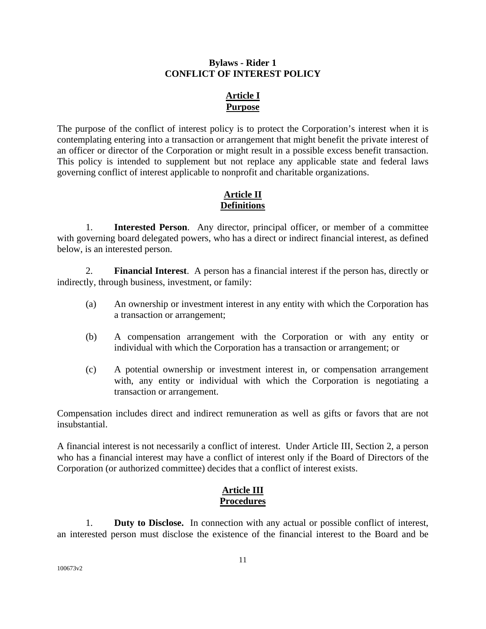## **Bylaws - Rider 1 CONFLICT OF INTEREST POLICY**

# **Article I Purpose**

The purpose of the conflict of interest policy is to protect the Corporation's interest when it is contemplating entering into a transaction or arrangement that might benefit the private interest of an officer or director of the Corporation or might result in a possible excess benefit transaction. This policy is intended to supplement but not replace any applicable state and federal laws governing conflict of interest applicable to nonprofit and charitable organizations.

## **Article II Definitions**

1. **Interested Person**. Any director, principal officer, or member of a committee with governing board delegated powers, who has a direct or indirect financial interest, as defined below, is an interested person.

2. **Financial Interest**. A person has a financial interest if the person has, directly or indirectly, through business, investment, or family:

- (a) An ownership or investment interest in any entity with which the Corporation has a transaction or arrangement;
- (b) A compensation arrangement with the Corporation or with any entity or individual with which the Corporation has a transaction or arrangement; or
- (c) A potential ownership or investment interest in, or compensation arrangement with, any entity or individual with which the Corporation is negotiating a transaction or arrangement.

Compensation includes direct and indirect remuneration as well as gifts or favors that are not insubstantial.

A financial interest is not necessarily a conflict of interest. Under Article III, Section 2, a person who has a financial interest may have a conflict of interest only if the Board of Directors of the Corporation (or authorized committee) decides that a conflict of interest exists.

# **Article III Procedures**

1. **Duty to Disclose.** In connection with any actual or possible conflict of interest, an interested person must disclose the existence of the financial interest to the Board and be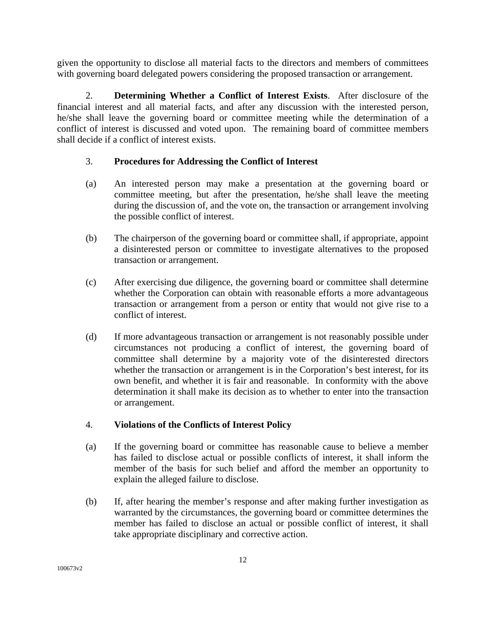given the opportunity to disclose all material facts to the directors and members of committees with governing board delegated powers considering the proposed transaction or arrangement.

2. **Determining Whether a Conflict of Interest Exists**. After disclosure of the financial interest and all material facts, and after any discussion with the interested person, he/she shall leave the governing board or committee meeting while the determination of a conflict of interest is discussed and voted upon. The remaining board of committee members shall decide if a conflict of interest exists.

## 3. **Procedures for Addressing the Conflict of Interest**

- (a) An interested person may make a presentation at the governing board or committee meeting, but after the presentation, he/she shall leave the meeting during the discussion of, and the vote on, the transaction or arrangement involving the possible conflict of interest.
- (b) The chairperson of the governing board or committee shall, if appropriate, appoint a disinterested person or committee to investigate alternatives to the proposed transaction or arrangement.
- (c) After exercising due diligence, the governing board or committee shall determine whether the Corporation can obtain with reasonable efforts a more advantageous transaction or arrangement from a person or entity that would not give rise to a conflict of interest.
- (d) If more advantageous transaction or arrangement is not reasonably possible under circumstances not producing a conflict of interest, the governing board of committee shall determine by a majority vote of the disinterested directors whether the transaction or arrangement is in the Corporation's best interest, for its own benefit, and whether it is fair and reasonable. In conformity with the above determination it shall make its decision as to whether to enter into the transaction or arrangement.

# 4. **Violations of the Conflicts of Interest Policy**

- (a) If the governing board or committee has reasonable cause to believe a member has failed to disclose actual or possible conflicts of interest, it shall inform the member of the basis for such belief and afford the member an opportunity to explain the alleged failure to disclose.
- (b) If, after hearing the member's response and after making further investigation as warranted by the circumstances, the governing board or committee determines the member has failed to disclose an actual or possible conflict of interest, it shall take appropriate disciplinary and corrective action.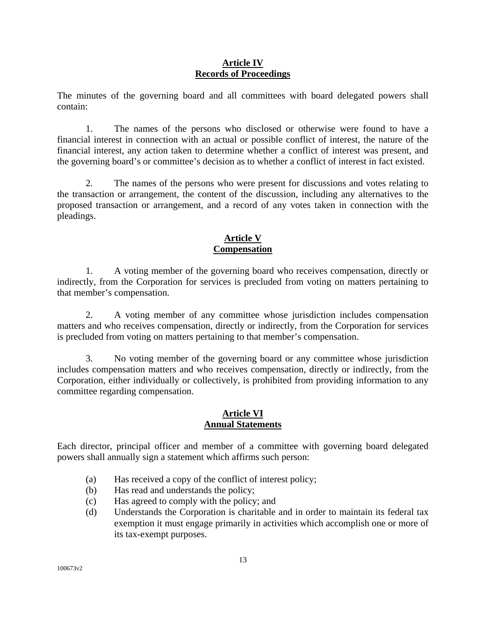## **Article IV Records of Proceedings**

The minutes of the governing board and all committees with board delegated powers shall contain:

 1. The names of the persons who disclosed or otherwise were found to have a financial interest in connection with an actual or possible conflict of interest, the nature of the financial interest, any action taken to determine whether a conflict of interest was present, and the governing board's or committee's decision as to whether a conflict of interest in fact existed.

 2. The names of the persons who were present for discussions and votes relating to the transaction or arrangement, the content of the discussion, including any alternatives to the proposed transaction or arrangement, and a record of any votes taken in connection with the pleadings.

# **Article V Compensation**

 1. A voting member of the governing board who receives compensation, directly or indirectly, from the Corporation for services is precluded from voting on matters pertaining to that member's compensation.

 2. A voting member of any committee whose jurisdiction includes compensation matters and who receives compensation, directly or indirectly, from the Corporation for services is precluded from voting on matters pertaining to that member's compensation.

 3. No voting member of the governing board or any committee whose jurisdiction includes compensation matters and who receives compensation, directly or indirectly, from the Corporation, either individually or collectively, is prohibited from providing information to any committee regarding compensation.

# **Article VI Annual Statements**

Each director, principal officer and member of a committee with governing board delegated powers shall annually sign a statement which affirms such person:

- (a) Has received a copy of the conflict of interest policy;
- (b) Has read and understands the policy;
- (c)Has agreed to comply with the policy; and
- (d) Understands the Corporation is charitable and in order to maintain its federal tax exemption it must engage primarily in activities which accomplish one or more of its tax-exempt purposes.